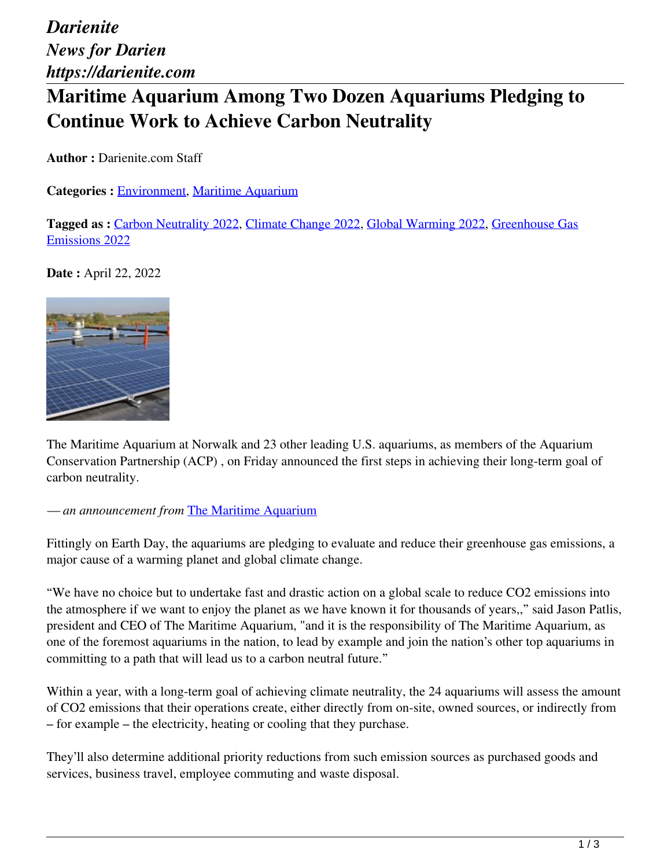*Darienite News for Darien https://darienite.com*

## **Maritime Aquarium Among Two Dozen Aquariums Pledging to Continue Work to Achieve Carbon Neutrality**

**Author :** Darienite.com Staff

**Categories :** [Environment,](https://darienite.com/category/environment) Maritime Aquarium

**Tagged as :** Carbon Neutrality 2022, Climate Change 2022, Global Warming 2022, Greenhouse Gas Emissions 2022

**Date :** April 22, 2022



The Maritime Aquarium at Norwalk and 23 other leading U.S. aquariums, as members of the Aquarium Conservation Partnership (ACP) , on Friday announced the first steps in achieving their long-term goal of carbon neutrality.

*— an announcement from* The Maritime Aquarium

Fittingly on Earth Day, the aquariums are pledging to evaluate and reduce their greenhouse gas emissions, a major cause of a warming planet and global climate change.

"We have no choice but to undertake fast and drastic action on a global scale to reduce CO2 emissions into the atmosphere if we want to enjoy the planet as we have known it for thousands of years,," said Jason Patlis, president and CEO of The Maritime Aquarium, "and it is the responsibility of The Maritime Aquarium, as one of the foremost aquariums in the nation, to lead by example and join the nation's other top aquariums in committing to a path that will lead us to a carbon neutral future."

Within a year, with a long-term goal of achieving climate neutrality, the 24 aquariums will assess the amount of CO2 emissions that their operations create, either directly from on-site, owned sources, or indirectly from – for example – the electricity, heating or cooling that they purchase.

They'll also determine additional priority reductions from such emission sources as purchased goods and services, business travel, employee commuting and waste disposal.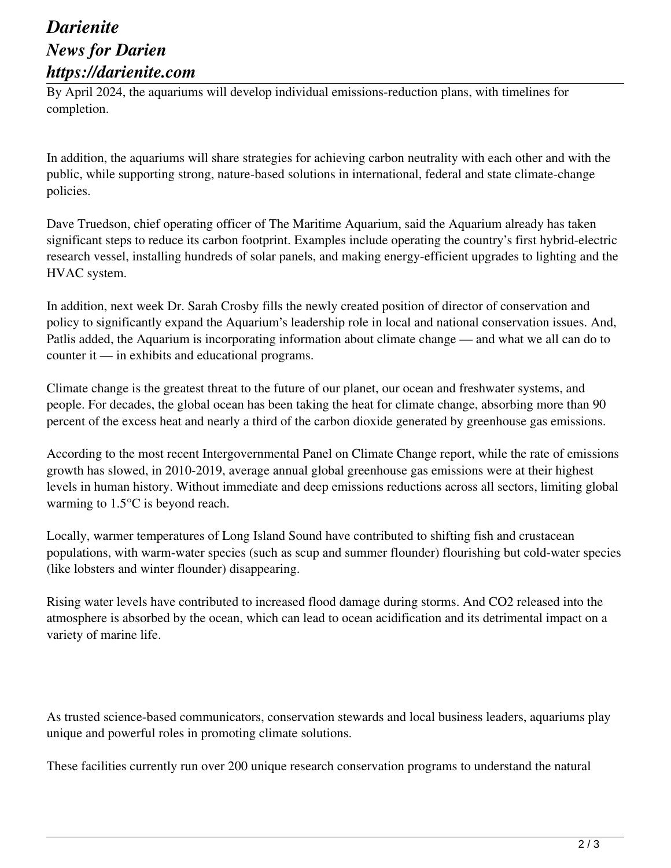## *Darienite News for Darien https://darienite.com*

By April 2024, the aquariums will develop individual emissions-reduction plans, with timelines for completion.

In addition, the aquariums will share strategies for achieving carbon neutrality with each other and with the public, while supporting strong, nature-based solutions in international, federal and state climate-change policies.

Dave Truedson, chief operating officer of The Maritime Aquarium, said the Aquarium already has taken significant steps to reduce its carbon footprint. Examples include operating the country's first hybrid-electric research vessel, installing hundreds of solar panels, and making energy-efficient upgrades to lighting and the HVAC system.

In addition, next week Dr. Sarah Crosby fills the newly created position of director of conservation and policy to significantly expand the Aquarium's leadership role in local and national conservation issues. And, Patlis added, the Aquarium is incorporating information about climate change — and what we all can do to counter it — in exhibits and educational programs.

Climate change is the greatest threat to the future of our planet, our ocean and freshwater systems, and people. For decades, the global ocean has been taking the heat for climate change, absorbing more than 90 percent of the excess heat and nearly a third of the carbon dioxide generated by greenhouse gas emissions.

According to the most recent Intergovernmental Panel on Climate Change report, while the rate of emissions growth has slowed, in 2010-2019, average annual global greenhouse gas emissions were at their highest levels in human history. Without immediate and deep emissions reductions across all sectors, limiting global warming to 1.5°C is beyond reach.

Locally, warmer temperatures of Long Island Sound have contributed to shifting fish and crustacean populations, with warm-water species (such as scup and summer flounder) flourishing but cold-water species (like lobsters and winter flounder) disappearing.

Rising water levels have contributed to increased flood damage during storms. And CO2 released into the atmosphere is absorbed by the ocean, which can lead to ocean acidification and its detrimental impact on a variety of marine life.

As trusted science-based communicators, conservation stewards and local business leaders, aquariums play unique and powerful roles in promoting climate solutions.

These facilities currently run over 200 unique research conservation programs to understand the natural